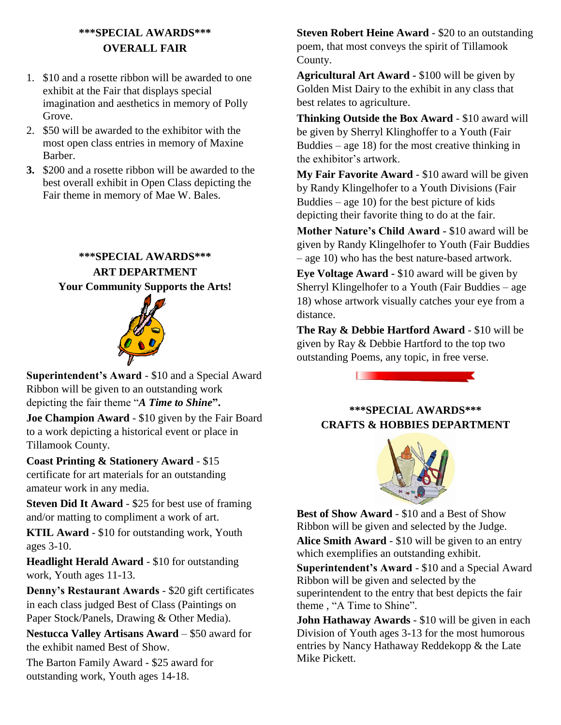## **\*\*\*SPECIAL AWARDS\*\*\* OVERALL FAIR**

- 1. \$10 and a rosette ribbon will be awarded to one exhibit at the Fair that displays special imagination and aesthetics in memory of Polly Grove.
- 2. \$50 will be awarded to the exhibitor with the most open class entries in memory of Maxine Barber.
- **3.** \$200 and a rosette ribbon will be awarded to the best overall exhibit in Open Class depicting the Fair theme in memory of Mae W. Bales.

### **\*\*\*SPECIAL AWARDS\*\*\* ART DEPARTMENT Your Community Supports the Arts!**



**Superintendent's Award** - \$10 and a Special Award Ribbon will be given to an outstanding work depicting the fair theme "*A Time to Shine***".**

**Joe Champion Award** - \$10 given by the Fair Board to a work depicting a historical event or place in Tillamook County.

**Coast Printing & Stationery Award** - \$15 certificate for art materials for an outstanding amateur work in any media.

**Steven Did It Award** - \$25 for best use of framing and/or matting to compliment a work of art.

**KTIL Award** - \$10 for outstanding work, Youth ages 3-10.

**Headlight Herald Award** - \$10 for outstanding work, Youth ages 11-13.

**Denny's Restaurant Awards** - \$20 gift certificates in each class judged Best of Class (Paintings on Paper Stock/Panels, Drawing & Other Media).

**Nestucca Valley Artisans Award** – \$50 award for the exhibit named Best of Show.

The Barton Family Award - \$25 award for outstanding work, Youth ages 14-18.

**Steven Robert Heine Award** - \$20 to an outstanding poem, that most conveys the spirit of Tillamook County.

**Agricultural Art Award -** \$100 will be given by Golden Mist Dairy to the exhibit in any class that best relates to agriculture.

**Thinking Outside the Box Award** - \$10 award will be given by Sherryl Klinghoffer to a Youth (Fair Buddies – age  $18$ ) for the most creative thinking in the exhibitor's artwork.

**My Fair Favorite Award** - \$10 award will be given by Randy Klingelhofer to a Youth Divisions (Fair Buddies – age  $10$ ) for the best picture of kids depicting their favorite thing to do at the fair.

**Mother Nature's Child Award -** \$10 award will be given by Randy Klingelhofer to Youth (Fair Buddies – age 10) who has the best nature-based artwork.

**Eye Voltage Award -** \$10 award will be given by Sherryl Klingelhofer to a Youth (Fair Buddies – age 18) whose artwork visually catches your eye from a distance.

**The Ray & Debbie Hartford Award** - \$10 will be given by Ray & Debbie Hartford to the top two outstanding Poems, any topic, in free verse.



#### **\*\*\*SPECIAL AWARDS\*\*\* CRAFTS & HOBBIES DEPARTMENT**



**Best of Show Award** - \$10 and a Best of Show Ribbon will be given and selected by the Judge. **Alice Smith Award** - \$10 will be given to an entry which exemplifies an outstanding exhibit.

**Superintendent's Award** - \$10 and a Special Award Ribbon will be given and selected by the superintendent to the entry that best depicts the fair theme , "A Time to Shine".

**John Hathaway Awards** - \$10 will be given in each Division of Youth ages 3-13 for the most humorous entries by Nancy Hathaway Reddekopp & the Late Mike Pickett.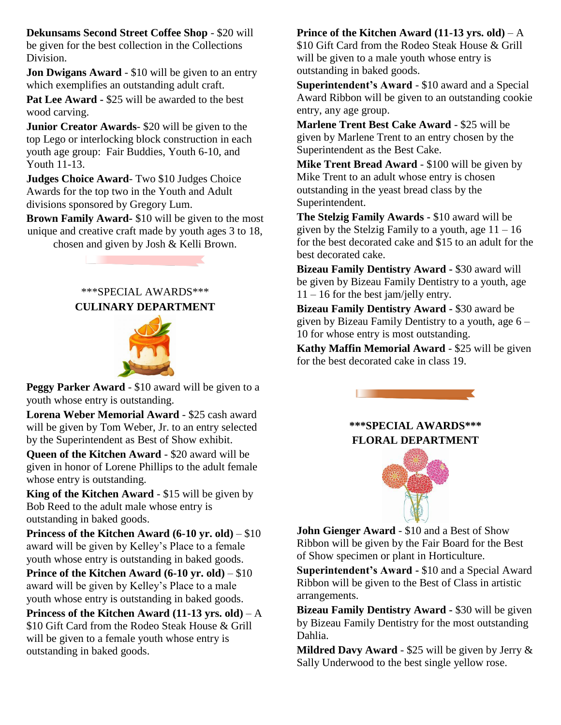**Dekunsams Second Street Coffee Shop** - \$20 will be given for the best collection in the Collections Division.

**Jon Dwigans Award** - \$10 will be given to an entry which exemplifies an outstanding adult craft.

Pat Lee Award - \$25 will be awarded to the best wood carving.

**Junior Creator Awards**- \$20 will be given to the top Lego or interlocking block construction in each youth age group: Fair Buddies, Youth 6-10, and Youth 11-13.

**Judges Choice Award**- Two \$10 Judges Choice Awards for the top two in the Youth and Adult divisions sponsored by Gregory Lum.

**Brown Family Award-** \$10 will be given to the most unique and creative craft made by youth ages 3 to 18,

chosen and given by Josh & Kelli Brown.

#### \*\*\*SPECIAL AWARDS\*\*\* **CULINARY DEPARTMENT**



**Peggy Parker Award** - \$10 award will be given to a youth whose entry is outstanding.

**Lorena Weber Memorial Award** - \$25 cash award will be given by Tom Weber, Jr. to an entry selected by the Superintendent as Best of Show exhibit.

**Queen of the Kitchen Award** - \$20 award will be given in honor of Lorene Phillips to the adult female whose entry is outstanding.

**King of the Kitchen Award** - \$15 will be given by Bob Reed to the adult male whose entry is outstanding in baked goods.

**Princess of the Kitchen Award (6-10 yr. old)** – \$10 award will be given by Kelley's Place to a female youth whose entry is outstanding in baked goods.

**Prince of the Kitchen Award (6-10 yr. old)** – \$10 award will be given by Kelley's Place to a male youth whose entry is outstanding in baked goods.

**Princess of the Kitchen Award (11-13 yrs. old)** – A \$10 Gift Card from the Rodeo Steak House & Grill will be given to a female youth whose entry is outstanding in baked goods.

#### **Prince of the Kitchen Award (11-13 yrs. old)** – A

\$10 Gift Card from the Rodeo Steak House & Grill will be given to a male youth whose entry is outstanding in baked goods.

**Superintendent's Award** - \$10 award and a Special Award Ribbon will be given to an outstanding cookie entry, any age group.

**Marlene Trent Best Cake Award** - \$25 will be given by Marlene Trent to an entry chosen by the Superintendent as the Best Cake.

**Mike Trent Bread Award** - \$100 will be given by Mike Trent to an adult whose entry is chosen outstanding in the yeast bread class by the Superintendent.

**The Stelzig Family Awards -** \$10 award will be given by the Stelzig Family to a youth, age  $11 - 16$ for the best decorated cake and \$15 to an adult for the best decorated cake.

**Bizeau Family Dentistry Award -** \$30 award will be given by Bizeau Family Dentistry to a youth, age  $11 - 16$  for the best jam/jelly entry.

**Bizeau Family Dentistry Award -** \$30 award be given by Bizeau Family Dentistry to a youth, age 6 – 10 for whose entry is most outstanding.

**Kathy Maffin Memorial Award** - \$25 will be given for the best decorated cake in class 19.



**\*\*\*SPECIAL AWARDS\*\*\* FLORAL DEPARTMENT**



**John Gienger Award** - \$10 and a Best of Show Ribbon will be given by the Fair Board for the Best of Show specimen or plant in Horticulture.

**Superintendent's Award -** \$10 and a Special Award Ribbon will be given to the Best of Class in artistic arrangements.

**Bizeau Family Dentistry Award -** \$30 will be given by Bizeau Family Dentistry for the most outstanding Dahlia.

**Mildred Davy Award** - \$25 will be given by Jerry & Sally Underwood to the best single yellow rose.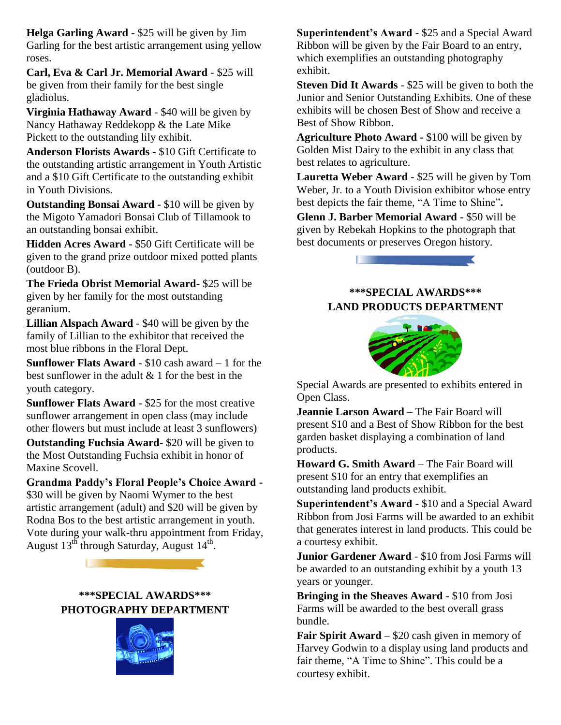**Helga Garling Award -** \$25 will be given by Jim Garling for the best artistic arrangement using yellow roses.

**Carl, Eva & Carl Jr. Memorial Award** - \$25 will be given from their family for the best single gladiolus.

**Virginia Hathaway Award** - \$40 will be given by Nancy Hathaway Reddekopp & the Late Mike Pickett to the outstanding lily exhibit.

**Anderson Florists Awards** - \$10 Gift Certificate to the outstanding artistic arrangement in Youth Artistic and a \$10 Gift Certificate to the outstanding exhibit in Youth Divisions.

**Outstanding Bonsai Award -** \$10 will be given by the Migoto Yamadori Bonsai Club of Tillamook to an outstanding bonsai exhibit.

**Hidden Acres Award -** \$50 Gift Certificate will be given to the grand prize outdoor mixed potted plants (outdoor B).

**The Frieda Obrist Memorial Award-** \$25 will be given by her family for the most outstanding geranium.

**Lillian Alspach Award** - \$40 will be given by the family of Lillian to the exhibitor that received the most blue ribbons in the Floral Dept.

**Sunflower Flats Award** - \$10 cash award – 1 for the best sunflower in the adult & 1 for the best in the youth category.

**Sunflower Flats Award** - \$25 for the most creative sunflower arrangement in open class (may include other flowers but must include at least 3 sunflowers)

**Outstanding Fuchsia Award-** \$20 will be given to the Most Outstanding Fuchsia exhibit in honor of Maxine Scovell.

**Grandma Paddy's Floral People's Choice Award -** \$30 will be given by Naomi Wymer to the best artistic arrangement (adult) and \$20 will be given by Rodna Bos to the best artistic arrangement in youth. Vote during your walk-thru appointment from Friday, August  $13^{th}$  through Saturday, August  $14^{th}$ .

> **\*\*\*SPECIAL AWARDS\*\*\* PHOTOGRAPHY DEPARTMENT**



**Superintendent's Award** - \$25 and a Special Award Ribbon will be given by the Fair Board to an entry, which exemplifies an outstanding photography exhibit.

**Steven Did It Awards** - \$25 will be given to both the Junior and Senior Outstanding Exhibits. One of these exhibits will be chosen Best of Show and receive a Best of Show Ribbon.

**Agriculture Photo Award -** \$100 will be given by Golden Mist Dairy to the exhibit in any class that best relates to agriculture.

**Lauretta Weber Award** - \$25 will be given by Tom Weber, Jr. to a Youth Division exhibitor whose entry best depicts the fair theme, "A Time to Shine"**.**

**Glenn J. Barber Memorial Award -** \$50 will be given by Rebekah Hopkins to the photograph that best documents or preserves Oregon history.



#### **\*\*\*SPECIAL AWARDS\*\*\* LAND PRODUCTS DEPARTMENT**



Special Awards are presented to exhibits entered in Open Class.

**Jeannie Larson Award** – The Fair Board will present \$10 and a Best of Show Ribbon for the best garden basket displaying a combination of land products.

**Howard G. Smith Award** – The Fair Board will present \$10 for an entry that exemplifies an outstanding land products exhibit.

**Superintendent's Award** - \$10 and a Special Award Ribbon from Josi Farms will be awarded to an exhibit that generates interest in land products. This could be a courtesy exhibit.

**Junior Gardener Award** - \$10 from Josi Farms will be awarded to an outstanding exhibit by a youth 13 years or younger.

**Bringing in the Sheaves Award** - \$10 from Josi Farms will be awarded to the best overall grass bundle.

**Fair Spirit Award** – \$20 cash given in memory of Harvey Godwin to a display using land products and fair theme, "A Time to Shine". This could be a courtesy exhibit.